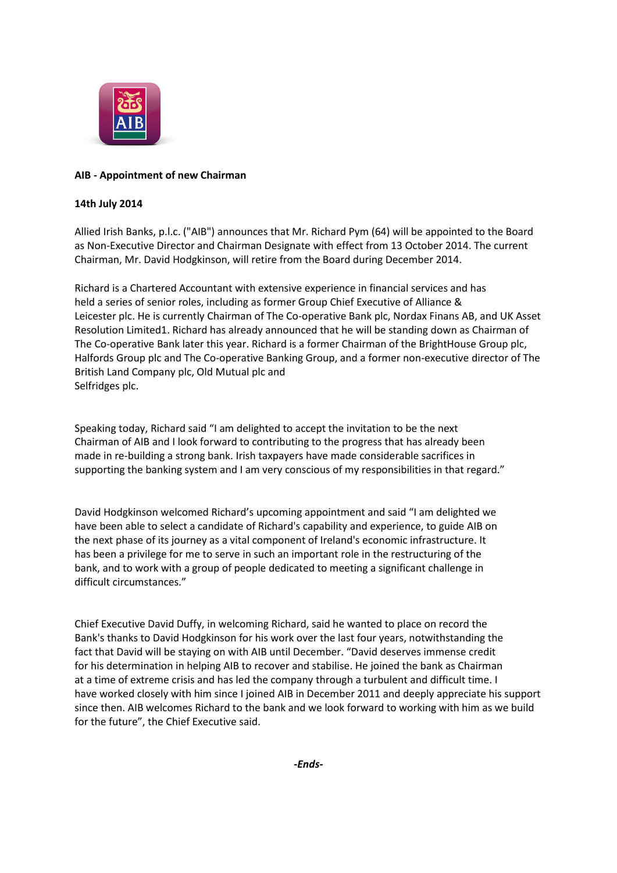

## **AIB - Appointment of new Chairman**

## **14th July 2014**

Allied Irish Banks, p.l.c. ("AIB") announces that Mr. Richard Pym (64) will be appointed to the Board as Non-Executive Director and Chairman Designate with effect from 13 October 2014. The current Chairman, Mr. David Hodgkinson, will retire from the Board during December 2014.

Richard is a Chartered Accountant with extensive experience in financial services and has held a series of senior roles, including as former Group Chief Executive of Alliance & Leicester plc. He is currently Chairman of The Co-operative Bank plc, Nordax Finans AB, and UK Asset Resolution Limited1. Richard has already announced that he will be standing down as Chairman of The Co-operative Bank later this year. Richard is a former Chairman of the BrightHouse Group plc, Halfords Group plc and The Co‐operative Banking Group, and a former non‐executive director of The British Land Company plc, Old Mutual plc and Selfridges plc.

Speaking today, Richard said "I am delighted to accept the invitation to be the next Chairman of AIB and I look forward to contributing to the progress that has already been made in re‐building a strong bank. Irish taxpayers have made considerable sacrifices in supporting the banking system and I am very conscious of my responsibilities in that regard."

David Hodgkinson welcomed Richard's upcoming appointment and said "I am delighted we have been able to select a candidate of Richard's capability and experience, to guide AIB on the next phase of its journey as a vital component of Ireland's economic infrastructure. It has been a privilege for me to serve in such an important role in the restructuring of the bank, and to work with a group of people dedicated to meeting a significant challenge in difficult circumstances."

Chief Executive David Duffy, in welcoming Richard, said he wanted to place on record the Bank's thanks to David Hodgkinson for his work over the last four years, notwithstanding the fact that David will be staying on with AIB until December. "David deserves immense credit for his determination in helping AIB to recover and stabilise. He joined the bank as Chairman at a time of extreme crisis and has led the company through a turbulent and difficult time. I have worked closely with him since I joined AIB in December 2011 and deeply appreciate his support since then. AIB welcomes Richard to the bank and we look forward to working with him as we build for the future", the Chief Executive said.